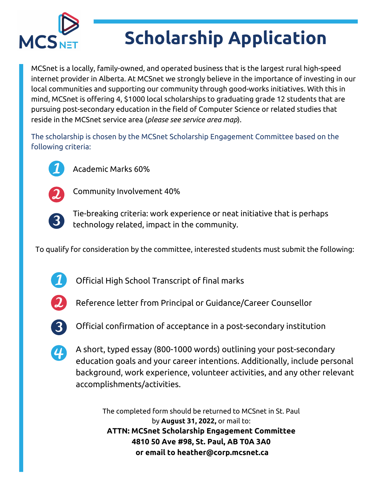

## **Scholarship Application**

MCSnet is a locally, family-owned, and operated business that is the largest rural high-speed internet provider in Alberta. At MCSnet we strongly believe in the importance of investing in our local communities and supporting our community through good-works initiatives. With this in mind, MCSnet is offering 4, \$1000 local scholarships to graduating grade 12 students that are pursuing post-secondary education in the field of Computer Science or related studies that reside in the MCSnet service area (*please see service area map*).

The scholarship is chosen by the MCSnet Scholarship Engagement Committee based on the following criteria:



Academic Marks 60%



Community Involvement 40%



Tie-breaking criteria: work experience or neat initiative that is perhaps technology related, impact in the community.

To qualify for consideration by the committee, interested students must submit the following:



Official High School Transcript of final marks



Reference letter from Principal or Guidance/Career Counsellor



Official confirmation of acceptance in a post-secondary institution



A short, typed essay (800-1000 words) outlining your post-secondary education goals and your career intentions. Additionally, include personal background, work experience, volunteer activities, and any other relevant accomplishments/activities.

The completed form should be returned to MCSnet in St. Paul by **August 31, 2022,** or mail to: **ATTN: MCSnet Scholarship Engagement Committee 4810 50 Ave #98, St. Paul, AB T0A 3A0 or email to heather@corp.mcsnet.ca**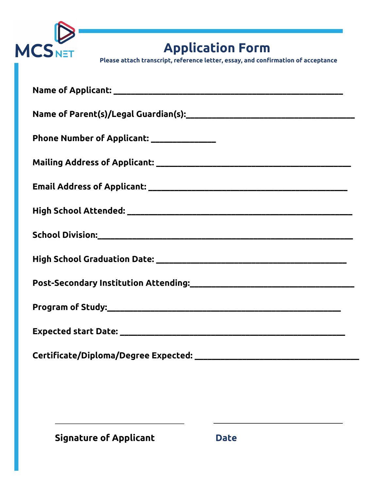

**Application Form**

**Please attach transcript, reference letter, essay, and confirmation of acceptance**

| Phone Number of Applicant: ______________ |
|-------------------------------------------|
|                                           |
|                                           |
|                                           |
|                                           |
|                                           |
|                                           |
|                                           |
|                                           |
|                                           |

**Signature of Applicant Date**